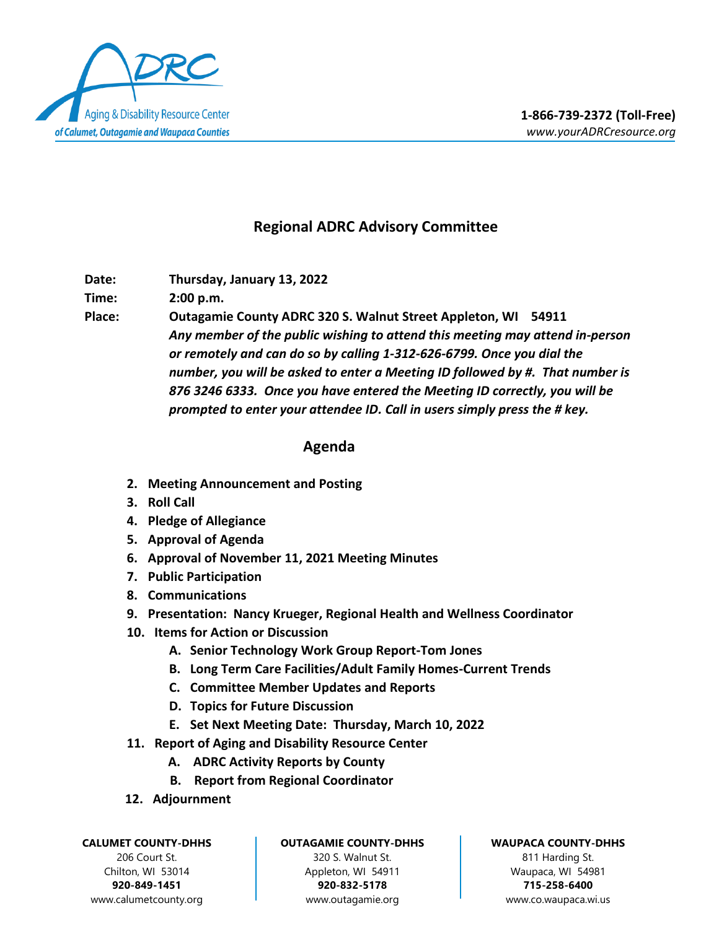

## **Regional ADRC Advisory Committee**

**Date: Thursday, January 13, 2022**

**Time: 2:00 p.m.**

**Place: Outagamie County ADRC 320 S. Walnut Street Appleton, WI 54911** *Any member of the public wishing to attend this meeting may attend in-person or remotely and can do so by calling 1-312-626-6799. Once you dial the number, you will be asked to enter a Meeting ID followed by #. That number is 876 3246 6333. Once you have entered the Meeting ID correctly, you will be prompted to enter your attendee ID. Call in users simply press the # key.*

## **Agenda**

- **2. Meeting Announcement and Posting**
- **3. Roll Call**
- **4. Pledge of Allegiance**
- **5. Approval of Agenda**
- **6. Approval of November 11, 2021 Meeting Minutes**
- **7. Public Participation**
- **8. Communications**
- **9. Presentation: Nancy Krueger, Regional Health and Wellness Coordinator**
- **10. Items for Action or Discussion**
	- **A. Senior Technology Work Group Report-Tom Jones**
	- **B. Long Term Care Facilities/Adult Family Homes-Current Trends**
	- **C. Committee Member Updates and Reports**
	- **D. Topics for Future Discussion**
	- **E. Set Next Meeting Date: Thursday, March 10, 2022**
- **11. Report of Aging and Disability Resource Center**
	- **A. ADRC Activity Reports by County**
	- **B. Report from Regional Coordinator**
- **12. Adjournment**

**CALUMET COUNTY-DHHS**

206 Court St. Chilton, WI 53014 **920-849-1451** www.calumetcounty.org

## **OUTAGAMIE COUNTY-DHHS**

320 S. Walnut St. Appleton, WI 54911 **920-832-5178** [www.outagamie.org](http://www.outagamie.org/)

## **WAUPACA COUNTY-DHHS**

811 Harding St. Waupaca, WI 54981 **715-258-6400** www.co.waupaca.wi.us